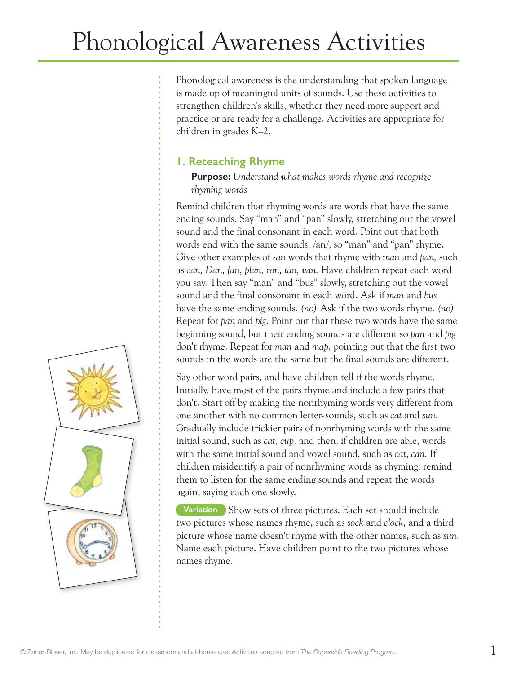Phonological awareness is the understanding that spoken language is made up of meaningful units of sounds. Use these activities to strengthen children's skills, whether they need more support and practice or are ready for a challenge. Activities are appropriate for children in grades K–2.

# **1. Reteaching Rhyme**

**Purpose:** *Understand what makes words rhyme and recognize rhyming words*

Remind children that rhyming words are words that have the same ending sounds. Say "man" and "pan" slowly, stretching out the vowel sound and the final consonant in each word. Point out that both words end with the same sounds, /an/, so "man" and "pan" rhyme. Give other examples of *-an* words that rhyme with *man* and *pan,* such as *can, Dan, fan, plan, ran, tan, van.* Have children repeat each word you say. Then say "man" and "bus" slowly, stretching out the vowel sound and the final consonant in each word. Ask if *man* and *bus* have the same ending sounds. *(no)* Ask if the two words rhyme. *(no)* Repeat for *pan* and *pig*. Point out that these two words have the same beginning sound, but their ending sounds are different so *pan* and *pig* don't rhyme. Repeat for *man* and *map,* pointing out that the first two sounds in the words are the same but the final sounds are different.

Say other word pairs, and have children tell if the words rhyme. Initially, have most of the pairs rhyme and include a few pairs that don't. Start off by making the nonrhyming words very different from one another with no common letter-sounds, such as *cat* and *sun.* Gradually include trickier pairs of nonrhyming words with the same initial sound, such as *cat*, *cup,* and then, if children are able, words with the same initial sound and vowel sound, such as *cat*, *can.* If children misidentify a pair of nonrhyming words as rhyming, remind them to listen for the same ending sounds and repeat the words again, saying each one slowly.

**Variation** Show sets of three pictures. Each set should include two pictures whose names rhyme, such as *sock* and *clock,* and a third picture whose name doesn't rhyme with the other names, such as *sun.* Name each picture. Have children point to the two pictures whose names rhyme.

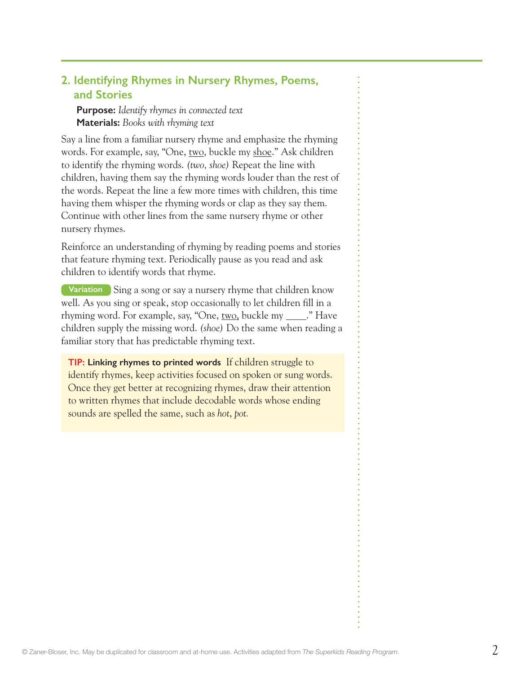### **2. Identifying Rhymes in Nursery Rhymes, Poems, and Stories**

**Purpose:** *Identify rhymes in connected text* **Materials:** *Books with rhyming text*

Say a line from a familiar nursery rhyme and emphasize the rhyming words. For example, say, "One, two, buckle my shoe." Ask children to identify the rhyming words. *(two, shoe)* Repeat the line with children, having them say the rhyming words louder than the rest of the words. Repeat the line a few more times with children, this time having them whisper the rhyming words or clap as they say them. Continue with other lines from the same nursery rhyme or other nursery rhymes.

Reinforce an understanding of rhyming by reading poems and stories that feature rhyming text. Periodically pause as you read and ask children to identify words that rhyme.

**Variation** Sing a song or say a nursery rhyme that children know well. As you sing or speak, stop occasionally to let children fill in a rhyming word. For example, say, "One,  $\text{two}$ , buckle my  $\qquad$ ." Have children supply the missing word. *(shoe)* Do the same when reading a familiar story that has predictable rhyming text.

**TIP: Linking rhymes to printed words** If children struggle to identify rhymes, keep activities focused on spoken or sung words. Once they get better at recognizing rhymes, draw their attention to written rhymes that include decodable words whose ending sounds are spelled the same, such as *hot*, *pot.*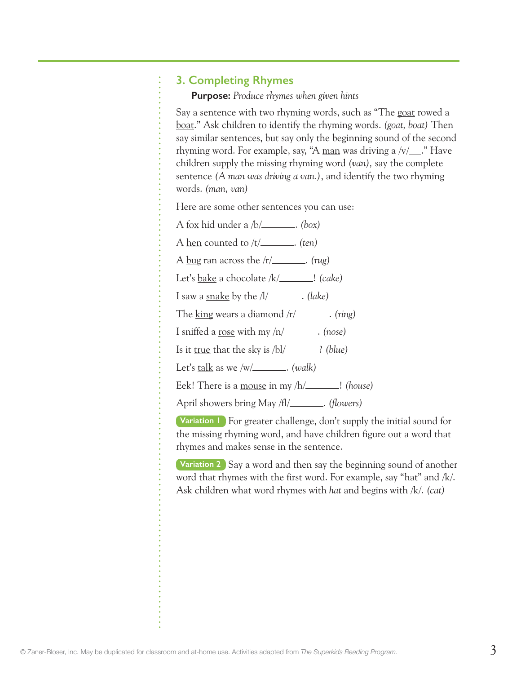#### **3. Completing Rhymes**

**Purpose:** *Produce rhymes when given hints*

Say a sentence with two rhyming words, such as "The goat rowed a boat." Ask children to identify the rhyming words. *(goat, boat)* Then say similar sentences, but say only the beginning sound of the second rhyming word. For example, say, "A man was driving a  $\sqrt{v}$  ." Have children supply the missing rhyming word *(van),* say the complete sentence *(A man was driving a van.)*, and identify the two rhyming words. *(man, van)*

Here are some other sentences you can use:

- A fox hid under a /b/ . *(box)*
- A hen counted to /t/\_\_\_\_\_\_\_. (ten)
- A bug ran across the /r/ . *(rug)*
- Let's <u>bake</u> a chocolate /k/\_\_\_\_\_\_\_\_! (cake)
- I saw a snake by the /l/ . *(lake)*

The <u>king</u> wears a diamond /r/\_\_\_\_\_\_\_\_. (ring)

I sniffed a rose with my /n/ . *(nose)*

Is it true that the sky is  $/bl/$  *(blue)* 

Let's talk as we /w/ \_\_\_\_\_\_\_. (walk)

Eek! There is a mouse in my /h/\_\_\_\_\_\_\_! *(house)* 

April showers bring May /fl/\_\_\_\_\_\_\_. (flowers)

**Variation 1** For greater challenge, don't supply the initial sound for the missing rhyming word, and have children figure out a word that rhymes and makes sense in the sentence.

**Variation 2** Say a word and then say the beginning sound of another word that rhymes with the first word. For example, say "hat" and /k/. Ask children what word rhymes with *hat* and begins with /k/. *(cat)*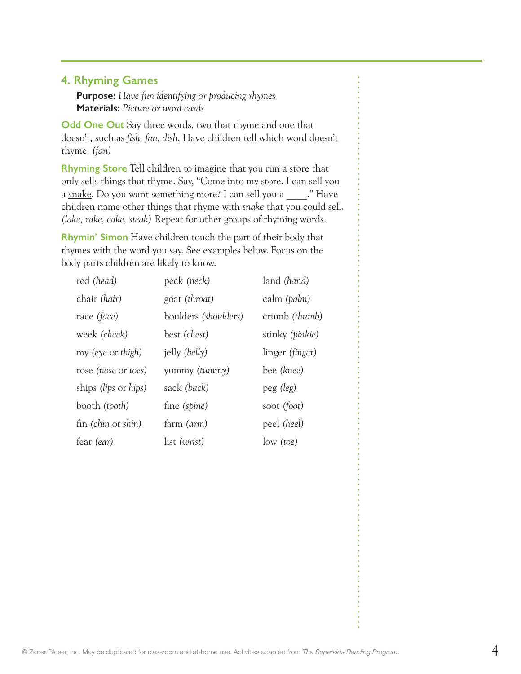### **4. Rhyming Games**

**Purpose:** *Have fun identifying or producing rhymes* **Materials:** *Picture or word cards*

**Odd One Out** Say three words, two that rhyme and one that doesn't, such as *fish, fan, dish.* Have children tell which word doesn't rhyme. *(fan)*

**Rhyming Store** Tell children to imagine that you run a store that only sells things that rhyme. Say, "Come into my store. I can sell you a snake. Do you want something more? I can sell you a \_\_\_\_. " Have children name other things that rhyme with *snake* that you could sell. *(lake, rake, cake, steak)* Repeat for other groups of rhyming words.

**Rhymin' Simon** Have children touch the part of their body that rhymes with the word you say. See examples below. Focus on the body parts children are likely to know.

| red (head)           | peck (neck)          | land (hand)            |
|----------------------|----------------------|------------------------|
| chair (hair)         | goat (throat)        | calm ( <i>palm</i> )   |
| race (face)          | boulders (shoulders) | crumb <i>(thumb)</i>   |
| week (cheek)         | best (chest)         | stinky (pinkie)        |
| my (eye or thigh)    | jelly (belly)        | linger <i>(finger)</i> |
| rose (nose or toes)  | yummy (tummy)        | bee (knee)             |
| ships (lips or hips) | sack (back)          | peg (leg)              |
| booth (tooth)        | fine (spine)         | soot (foot)            |
| fin (chin or shin)   | farm (arm)           | peel (heel)            |
| fear <i>(ear)</i>    | list (wrist)         | low (toe)              |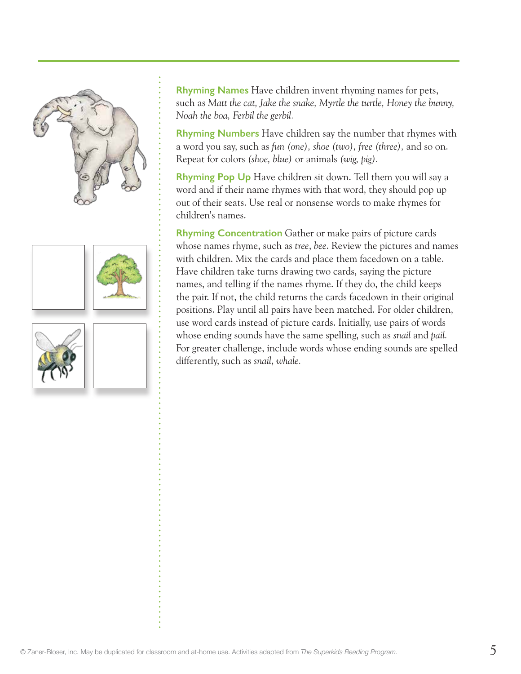





**Rhyming Names** Have children invent rhyming names for pets, such as *Matt the cat, Jake the snake, Myrtle the turtle, Honey the bunny, Noah the boa, Ferbil the gerbil.*

**Rhyming Numbers** Have children say the number that rhymes with a word you say, such as *fun (one), shoe (two), free (three),* and so on. Repeat for colors *(shoe, blue)* or animals *(wig, pig).*

**Rhyming Pop Up** Have children sit down. Tell them you will say a word and if their name rhymes with that word, they should pop up out of their seats. Use real or nonsense words to make rhymes for children's names.

**Rhyming Concentration** Gather or make pairs of picture cards whose names rhyme, such as *tree*, *bee*. Review the pictures and names with children. Mix the cards and place them facedown on a table. Have children take turns drawing two cards, saying the picture names, and telling if the names rhyme. If they do, the child keeps the pair. If not, the child returns the cards facedown in their original positions. Play until all pairs have been matched. For older children, use word cards instead of picture cards. Initially, use pairs of words whose ending sounds have the same spelling, such as *snail* and *pail.*  For greater challenge, include words whose ending sounds are spelled differently, such as *snail*, *whale.*